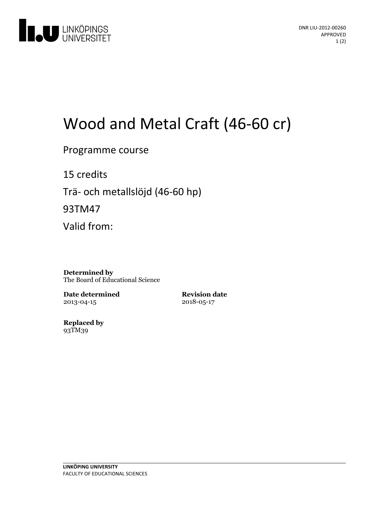

# Wood and Metal Craft (46-60 cr)

Programme course

15 credits Trä- och metallslöjd (46-60 hp)

93TM47

Valid from:

**Determined by** The Board of Educational Science

**Date determined** 2013-04-15

**Revision date** 2018-05-17

**Replaced by** 93TM39